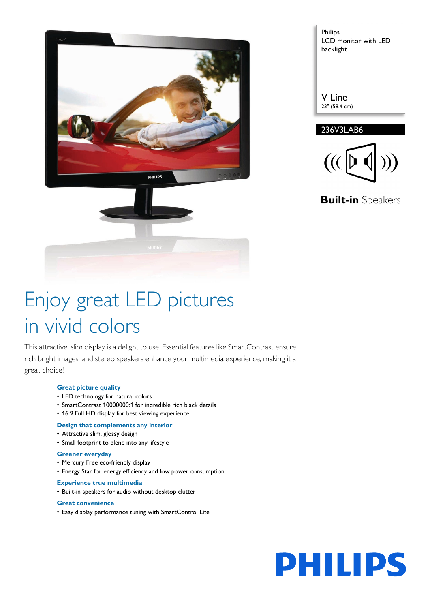

| Philips<br><b>LCD</b> monitor with LED<br>backlight |  |
|-----------------------------------------------------|--|
| V Line<br>23" (58.4 cm)                             |  |
| 236V3LAB6                                           |  |



**Built-in** Speakers

# Enjoy great LED pictures in vivid colors

This attractive, slim display is a delight to use. Essential features like SmartContrast ensure rich bright images, and stereo speakers enhance your multimedia experience, making it a great choice!

## **Great picture quality**

- LED technology for natural colors
- SmartContrast 10000000:1 for incredible rich black details
- 16:9 Full HD display for best viewing experience

## **Design that complements any interior**

- Attractive slim, glossy design
- Small footprint to blend into any lifestyle

## **Greener everyday**

- Mercury Free eco-friendly display
- Energy Star for energy efficiency and low power consumption

## **Experience true multimedia**

• Built-in speakers for audio without desktop clutter

#### **Great convenience**

• Easy display performance tuning with SmartControl Lite

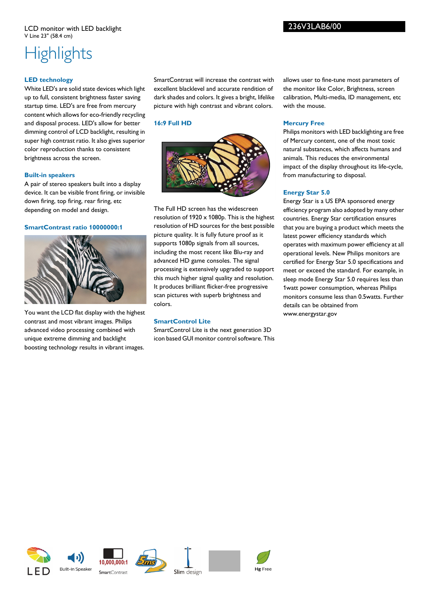## 236V3LAB6/00

## **Highlights**

## **LED technology**

White LED's are solid state devices which light up to full, consistent brightness faster saving startup time. LED's are free from mercury content which allows for eco-friendly recycling and disposal process. LED's allow for better dimming control of LCD backlight, resulting in super high contrast ratio. It also gives superior color reproduction thanks to consistent brightness across the screen.

#### **Built-in speakers**

A pair of stereo speakers built into a display device. It can be visible front firing, or invisible down firing, top firing, rear firing, etc depending on model and design.

## **SmartContrast ratio 10000000:1**



You want the LCD flat display with the highest contrast and most vibrant images. Philips advanced video processing combined with unique extreme dimming and backlight boosting technology results in vibrant images.

SmartContrast will increase the contrast with excellent blacklevel and accurate rendition of dark shades and colors. It gives a bright, lifelike picture with high contrast and vibrant colors.

## **16:9 Full HD**



The Full HD screen has the widescreen resolution of 1920 x 1080p. This is the highest resolution of HD sources for the best possible picture quality. It is fully future proof as it supports 1080p signals from all sources, including the most recent like Blu-ray and advanced HD game consoles. The signal processing is extensively upgraded to support this much higher signal quality and resolution. It produces brilliant flicker-free progressive scan pictures with superb brightness and colors.

## **SmartControl Lite**

SmartControl Lite is the next generation 3D icon based GUI monitor control software. This allows user to fine-tune most parameters of the monitor like Color, Brightness, screen calibration, Multi-media, ID management, etc with the mouse.

### **Mercury Free**

Philips monitors with LED backlighting are free of Mercury content, one of the most toxic natural substances, which affects humans and animals. This reduces the environmental impact of the display throughout its life-cycle, from manufacturing to disposal.

#### **Energy Star 5.0**

Energy Star is a US EPA sponsored energy efficiency program also adopted by many other countries. Energy Star certification ensures that you are buying a product which meets the latest power efficiency standards which operates with maximum power efficiency at all operational levels. New Philips monitors are certified for Energy Star 5.0 specifications and meet or exceed the standard. For example, in sleep mode Energy Star 5.0 requires less than 1watt power consumption, whereas Philips monitors consume less than 0.5watts. Further details can be obtained from www.energystar.gov